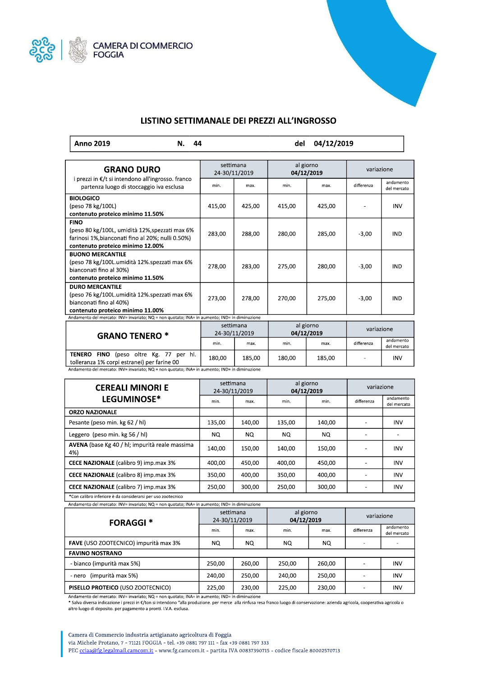



## LISTINO SETTIMANALE DEI PREZZI ALL'INGROSSO

| Anno 2019 | N. 44 | del 04/12/2019 |
|-----------|-------|----------------|
|           |       |                |

| <b>GRANO DURO</b>                                                                                                                                                                                | settimana<br>24-30/11/2019 |        | al giorno<br>04/12/2019 |        | variazione |                          |
|--------------------------------------------------------------------------------------------------------------------------------------------------------------------------------------------------|----------------------------|--------|-------------------------|--------|------------|--------------------------|
| i prezzi in €/t si intendono all'ingrosso. franco<br>partenza luogo di stoccaggio iva esclusa                                                                                                    | min.                       | max.   | min.                    | max.   | differenza | andamento<br>del mercato |
| <b>BIOLOGICO</b><br>(peso 78 kg/100L)<br>contenuto proteico minimo 11.50%                                                                                                                        | 415,00                     | 425,00 | 415,00                  | 425,00 |            | <b>INV</b>               |
| <b>FINO</b><br>(peso 80 kg/100L, umidità 12%, spezzati max 6%<br>farinosi 1%, bianconati fino al 20%; nulli 0.50%)<br>contenuto proteico minimo 12.00%                                           | 283,00                     | 288,00 | 280,00                  | 285,00 | $-3,00$    | <b>IND</b>               |
| <b>BUONO MERCANTILE</b><br>(peso 78 kg/100L.umidità 12%.spezzati max 6%<br>bianconati fino al 30%)<br>contenuto proteico minimo 11.50%                                                           | 278,00                     | 283,00 | 275,00                  | 280,00 | $-3,00$    | <b>IND</b>               |
| <b>DURO MERCANTILE</b><br>(peso 76 kg/100L.umidità 12%.spezzati max 6%<br>bianconati fino al 40%)<br>contenuto proteico minimo 11.00%                                                            | 273,00                     | 278,00 | 270,00                  | 275,00 | $-3,00$    | <b>IND</b>               |
| Andamento del mercato: INV= invariato; NQ = non quotato; INA= in aumento; IND= in diminuzione                                                                                                    |                            |        |                         |        |            |                          |
| <b>GRANO TENERO *</b>                                                                                                                                                                            | settimana<br>24-30/11/2019 |        | al giorno<br>04/12/2019 |        | variazione |                          |
|                                                                                                                                                                                                  | min.                       | max.   | min.                    | max.   | differenza | andamento<br>del mercato |
| <b>TENERO</b><br>FINO (peso oltre Kg. 77 per hl.<br>tolleranza 1% corpi estranei) per farine 00<br>Andamento del mercato: INV= invariato; NQ = non quotato; INA= in aumento; IND= in diminuzione | 180,00                     | 185,00 | 180,00                  | 185,00 |            | <b>INV</b>               |

| Andamento del mercato: INV= invariato; NQ = non quotato; INA= in aumento; IND= in diminuzion |  |
|----------------------------------------------------------------------------------------------|--|

| <b>CEREALI MINORI E</b>                                                                                                                                                                                                                                                                                                                                                                                                       | settimana<br>24-30/11/2019 |        | al giorno<br>04/12/2019 |        | variazione |                          |
|-------------------------------------------------------------------------------------------------------------------------------------------------------------------------------------------------------------------------------------------------------------------------------------------------------------------------------------------------------------------------------------------------------------------------------|----------------------------|--------|-------------------------|--------|------------|--------------------------|
| LEGUMINOSE*                                                                                                                                                                                                                                                                                                                                                                                                                   | min.                       | max.   | min.                    | min.   | differenza | andamento<br>del mercato |
| <b>ORZO NAZIONALE</b>                                                                                                                                                                                                                                                                                                                                                                                                         |                            |        |                         |        |            |                          |
| Pesante (peso min. kg 62 / hl)                                                                                                                                                                                                                                                                                                                                                                                                | 135,00                     | 140,00 | 135,00                  | 140,00 |            | <b>INV</b>               |
| Leggero (peso min. kg 56 / hl)                                                                                                                                                                                                                                                                                                                                                                                                | NQ.                        | NQ.    | NQ.                     | NQ.    |            |                          |
| AVENA (base Kg 40 / hl; impurità reale massima<br>4%)                                                                                                                                                                                                                                                                                                                                                                         | 140.00                     | 150.00 | 140.00                  | 150.00 |            | <b>INV</b>               |
| <b>CECE NAZIONALE</b> (calibro 9) imp.max 3%                                                                                                                                                                                                                                                                                                                                                                                  | 400,00                     | 450.00 | 400.00                  | 450.00 |            | <b>INV</b>               |
| <b>CECE NAZIONALE</b> (calibro 8) imp.max 3%                                                                                                                                                                                                                                                                                                                                                                                  | 350,00                     | 400,00 | 350,00                  | 400,00 |            | <b>INV</b>               |
| <b>CECE NAZIONALE</b> (calibro 7) imp.max 3%                                                                                                                                                                                                                                                                                                                                                                                  | 250,00                     | 300,00 | 250,00                  | 300,00 | ٠          | <b>INV</b>               |
| $\mathcal{L}(\mathbf{z}) = \mathbf{z} + \mathbf{z} + \mathbf{z} + \mathbf{z} + \mathbf{z} + \mathbf{z} + \mathbf{z} + \mathbf{z} + \mathbf{z} + \mathbf{z} + \mathbf{z} + \mathbf{z} + \mathbf{z} + \mathbf{z} + \mathbf{z} + \mathbf{z} + \mathbf{z} + \mathbf{z} + \mathbf{z} + \mathbf{z} + \mathbf{z} + \mathbf{z} + \mathbf{z} + \mathbf{z} + \mathbf{z} + \mathbf{z} + \mathbf{z} + \mathbf{z} + \mathbf{z} + \mathbf{$ |                            |        |                         |        |            |                          |

\*Con calibro inferiore è da considerarsi per uso zootecnico  $\mathbf{I}$ Andamento del mercato: INV= invariato; NQ = non quotato; INA= in aumento; IND= in diminuzione

| <b>FORAGGI *</b>                      | settimana<br>24-30/11/2019 |        | al giorno<br>04/12/2019 |        | variazione |                          |
|---------------------------------------|----------------------------|--------|-------------------------|--------|------------|--------------------------|
|                                       | min.                       | max.   | min.                    | max.   | differenza | andamento<br>del mercato |
| FAVE (USO ZOOTECNICO) impurità max 3% | NQ.                        | NQ.    | NQ.                     | NQ.    |            |                          |
| <b>FAVINO NOSTRANO</b>                |                            |        |                         |        |            |                          |
| - bianco (impurità max 5%)            | 250.00                     | 260.00 | 250.00                  | 260.00 |            | <b>INV</b>               |
| (impurità max 5%)<br>- nero           | 240.00                     | 250.00 | 240.00                  | 250.00 |            | <b>INV</b>               |
| PISELLO PROTEICO (USO ZOOTECNICO)     | 225,00                     | 230,00 | 225,00                  | 230,00 |            | <b>INV</b>               |

Andamento del mercato: INV= invariato; NQ = non quotato; INA= in aumento; IND= in diminuzione

\* Salva diversa indicazione i prezzi in €/ton si intendono "alla produzione, per merce alla rinfusa resa franco luogo di conservazione: azienda agricola, cooperativa agricola o altro luogo di deposito. per pagamento a pronti. I.V.A. esclusa.